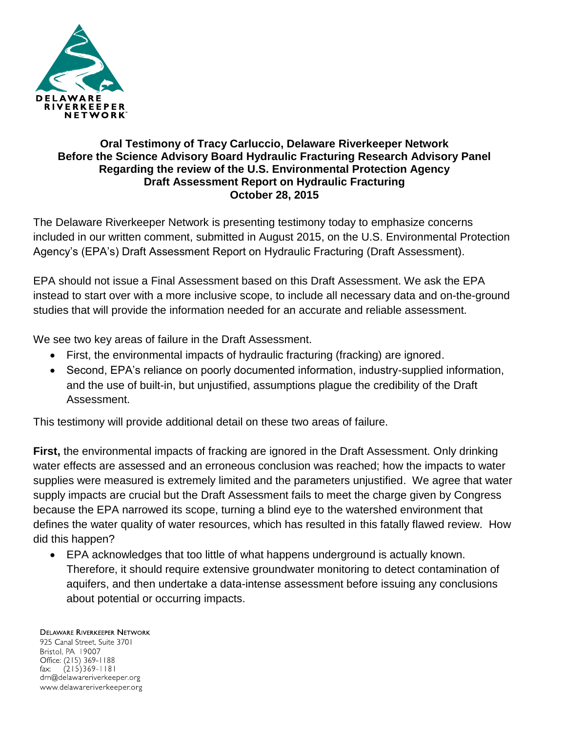

## **Oral Testimony of Tracy Carluccio, Delaware Riverkeeper Network Before the Science Advisory Board Hydraulic Fracturing Research Advisory Panel Regarding the review of the U.S. Environmental Protection Agency Draft Assessment Report on Hydraulic Fracturing October 28, 2015**

The Delaware Riverkeeper Network is presenting testimony today to emphasize concerns included in our written comment, submitted in August 2015, on the U.S. Environmental Protection Agency's (EPA's) Draft Assessment Report on Hydraulic Fracturing (Draft Assessment).

EPA should not issue a Final Assessment based on this Draft Assessment. We ask the EPA instead to start over with a more inclusive scope, to include all necessary data and on-the-ground studies that will provide the information needed for an accurate and reliable assessment.

We see two key areas of failure in the Draft Assessment.

- First, the environmental impacts of hydraulic fracturing (fracking) are ignored.
- Second, EPA's reliance on poorly documented information, industry-supplied information, and the use of built-in, but unjustified, assumptions plague the credibility of the Draft Assessment.

This testimony will provide additional detail on these two areas of failure.

**First,** the environmental impacts of fracking are ignored in the Draft Assessment. Only drinking water effects are assessed and an erroneous conclusion was reached; how the impacts to water supplies were measured is extremely limited and the parameters unjustified. We agree that water supply impacts are crucial but the Draft Assessment fails to meet the charge given by Congress because the EPA narrowed its scope, turning a blind eye to the watershed environment that defines the water quality of water resources, which has resulted in this fatally flawed review. How did this happen?

 EPA acknowledges that too little of what happens underground is actually known. Therefore, it should require extensive groundwater monitoring to detect contamination of aquifers, and then undertake a data-intense assessment before issuing any conclusions about potential or occurring impacts.

**DELAWARE RIVERKEEPER NETWORK** 925 Canal Street, Suite 3701 Bristol, PA 19007 Office: (215) 369-1188 fax:  $(215)369 - 1181$ drn@delawareriverkeeper.org www.delawareriverkeeper.org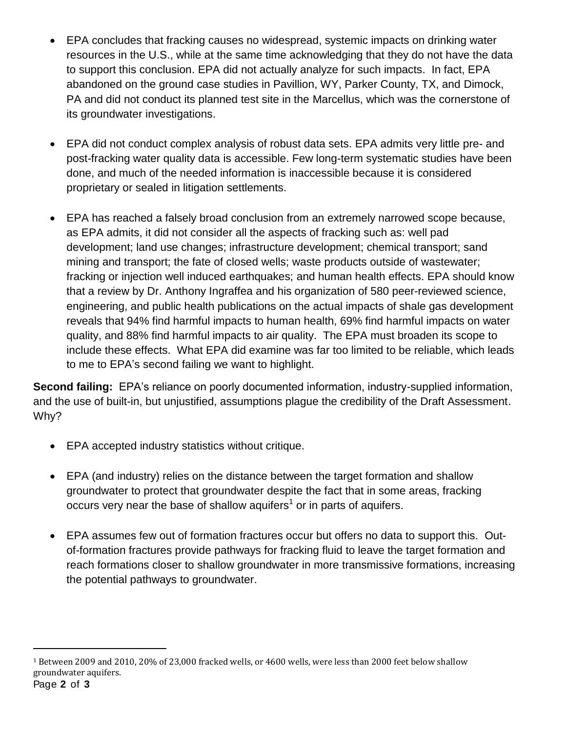- EPA concludes that fracking causes no widespread, systemic impacts on drinking water resources in the U.S., while at the same time acknowledging that they do not have the data to support this conclusion. EPA did not actually analyze for such impacts. In fact, EPA abandoned on the ground case studies in Pavillion, WY, Parker County, TX, and Dimock, PA and did not conduct its planned test site in the Marcellus, which was the cornerstone of its groundwater investigations.
- EPA did not conduct complex analysis of robust data sets. EPA admits very little pre- and post-fracking water quality data is accessible. Few long-term systematic studies have been done, and much of the needed information is inaccessible because it is considered proprietary or sealed in litigation settlements.
- EPA has reached a falsely broad conclusion from an extremely narrowed scope because, as EPA admits, it did not consider all the aspects of fracking such as: well pad development; land use changes; infrastructure development; chemical transport; sand mining and transport; the fate of closed wells; waste products outside of wastewater; fracking or injection well induced earthquakes; and human health effects. EPA should know that a review by Dr. Anthony Ingraffea and his organization of 580 peer-reviewed science, engineering, and public health publications on the actual impacts of shale gas development reveals that 94% find harmful impacts to human health, 69% find harmful impacts on water quality, and 88% find harmful impacts to air quality. The EPA must broaden its scope to include these effects. What EPA did examine was far too limited to be reliable, which leads to me to EPA's second failing we want to highlight.

**Second failing:** EPA's reliance on poorly documented information, industry-supplied information, and the use of built-in, but unjustified, assumptions plague the credibility of the Draft Assessment. Why?

- EPA accepted industry statistics without critique.
- EPA (and industry) relies on the distance between the target formation and shallow groundwater to protect that groundwater despite the fact that in some areas, fracking occurs very near the base of shallow aquifers<sup>1</sup> or in parts of aquifers.
- EPA assumes few out of formation fractures occur but offers no data to support this. Outof-formation fractures provide pathways for fracking fluid to leave the target formation and reach formations closer to shallow groundwater in more transmissive formations, increasing the potential pathways to groundwater.

 $\overline{a}$ 

<sup>1</sup> Between 2009 and 2010, 20% of 23,000 fracked wells, or 4600 wells, were less than 2000 feet below shallow groundwater aquifers.